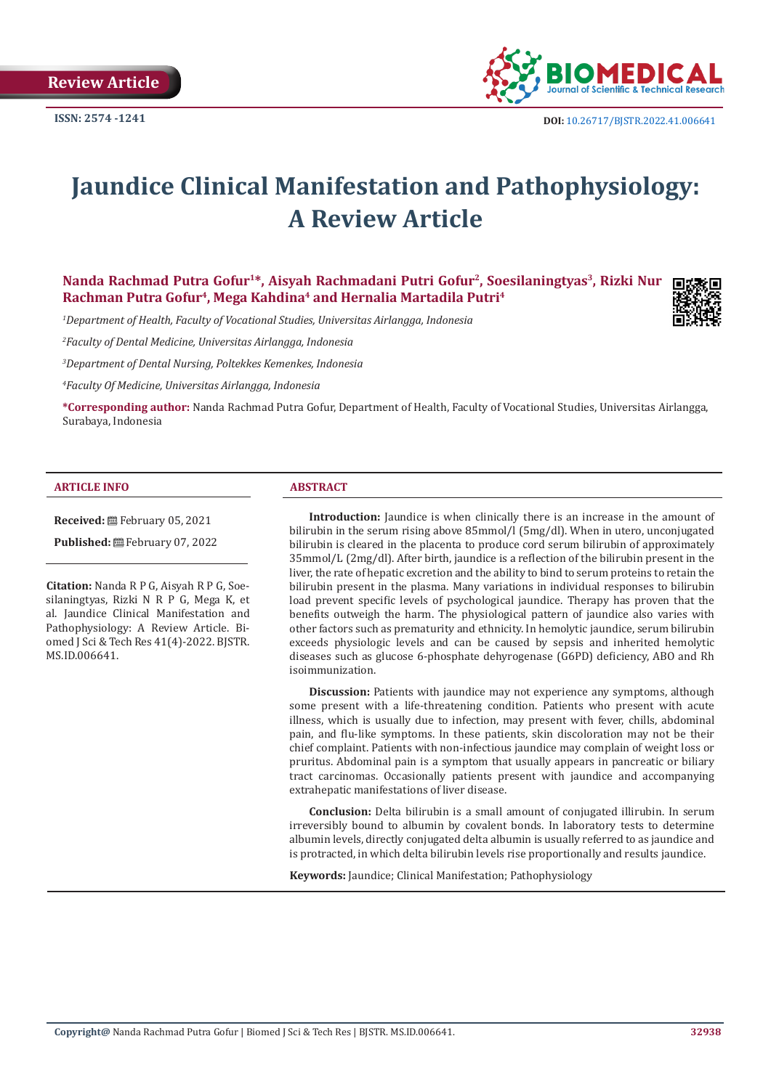**Review Article** 



# **Jaundice Clinical Manifestation and Pathophysiology: A Review Article**

# Nanda Rachmad Putra Gofur<sup>1\*</sup>, Aisyah Rachmadani Putri Gofur<sup>2</sup>, Soesilaningtyas<sup>3</sup>, Rizki Nur **Rachman Putra Gofur4, Mega Kahdina4 and Hernalia Martadila Putri4**

*1 Department of Health, Faculty of Vocational Studies, Universitas Airlangga, Indonesia*

*2 Faculty of Dental Medicine, Universitas Airlangga, Indonesia*

*3 Department of Dental Nursing, Poltekkes Kemenkes, Indonesia*

*4 Faculty Of Medicine, Universitas Airlangga, Indonesia*

**\*Corresponding author:** Nanda Rachmad Putra Gofur, Department of Health, Faculty of Vocational Studies, Universitas Airlangga, Surabaya, Indonesia

#### **ARTICLE INFO ABSTRACT**

**Received:** February 05, 2021

**Published:** February 07, 2022

**Citation:** Nanda R P G, Aisyah R P G, Soesilaningtyas, Rizki N R P G, Mega K, et al. Jaundice Clinical Manifestation and Pathophysiology: A Review Article. Biomed J Sci & Tech Res 41(4)-2022. BJSTR. MS.ID.006641.

Introduction: Jaundice is when clinically there is an increase in the amount of bilirubin in the serum rising above 85mmol/l (5mg/dl). When in utero, unconjugated bilirubin is cleared in the placenta to produce cord serum bilirubin of approximately 35mmol/L (2mg/dl). After birth, jaundice is a reflection of the bilirubin present in the liver, the rate of hepatic excretion and the ability to bind to serum proteins to retain the bilirubin present in the plasma. Many variations in individual responses to bilirubin load prevent specific levels of psychological jaundice. Therapy has proven that the benefits outweigh the harm. The physiological pattern of jaundice also varies with other factors such as prematurity and ethnicity. In hemolytic jaundice, serum bilirubin exceeds physiologic levels and can be caused by sepsis and inherited hemolytic diseases such as glucose 6-phosphate dehyrogenase (G6PD) deficiency, ABO and Rh isoimmunization.

**Discussion:** Patients with jaundice may not experience any symptoms, although some present with a life-threatening condition. Patients who present with acute illness, which is usually due to infection, may present with fever, chills, abdominal pain, and flu-like symptoms. In these patients, skin discoloration may not be their chief complaint. Patients with non-infectious jaundice may complain of weight loss or pruritus. Abdominal pain is a symptom that usually appears in pancreatic or biliary tract carcinomas. Occasionally patients present with jaundice and accompanying extrahepatic manifestations of liver disease.

**Conclusion:** Delta bilirubin is a small amount of conjugated illirubin. In serum irreversibly bound to albumin by covalent bonds. In laboratory tests to determine albumin levels, directly conjugated delta albumin is usually referred to as jaundice and is protracted, in which delta bilirubin levels rise proportionally and results jaundice.

**Keywords:** Jaundice; Clinical Manifestation; Pathophysiology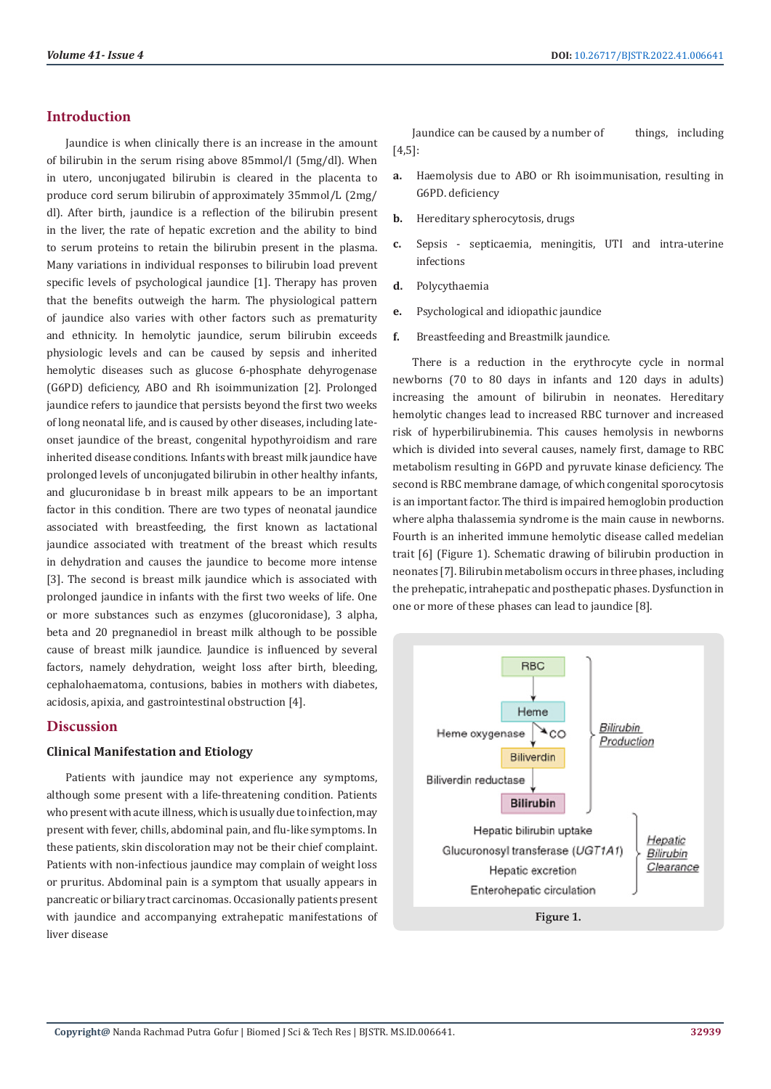# **Introduction**

Jaundice is when clinically there is an increase in the amount of bilirubin in the serum rising above 85mmol/l (5mg/dl). When in utero, unconjugated bilirubin is cleared in the placenta to produce cord serum bilirubin of approximately 35mmol/L (2mg/ dl). After birth, jaundice is a reflection of the bilirubin present in the liver, the rate of hepatic excretion and the ability to bind to serum proteins to retain the bilirubin present in the plasma. Many variations in individual responses to bilirubin load prevent specific levels of psychological jaundice [1]. Therapy has proven that the benefits outweigh the harm. The physiological pattern of jaundice also varies with other factors such as prematurity and ethnicity. In hemolytic jaundice, serum bilirubin exceeds physiologic levels and can be caused by sepsis and inherited hemolytic diseases such as glucose 6-phosphate dehyrogenase (G6PD) deficiency, ABO and Rh isoimmunization [2]. Prolonged jaundice refers to jaundice that persists beyond the first two weeks of long neonatal life, and is caused by other diseases, including lateonset jaundice of the breast, congenital hypothyroidism and rare inherited disease conditions. Infants with breast milk jaundice have prolonged levels of unconjugated bilirubin in other healthy infants, and glucuronidase b in breast milk appears to be an important factor in this condition. There are two types of neonatal jaundice associated with breastfeeding, the first known as lactational jaundice associated with treatment of the breast which results in dehydration and causes the jaundice to become more intense [3]. The second is breast milk jaundice which is associated with prolonged jaundice in infants with the first two weeks of life. One or more substances such as enzymes (glucoronidase), 3 alpha, beta and 20 pregnanediol in breast milk although to be possible cause of breast milk jaundice. Jaundice is influenced by several factors, namely dehydration, weight loss after birth, bleeding, cephalohaematoma, contusions, babies in mothers with diabetes, acidosis, apixia, and gastrointestinal obstruction [4].

# **Discussion**

# **Clinical Manifestation and Etiology**

Patients with jaundice may not experience any symptoms, although some present with a life-threatening condition. Patients who present with acute illness, which is usually due to infection, may present with fever, chills, abdominal pain, and flu-like symptoms. In these patients, skin discoloration may not be their chief complaint. Patients with non-infectious jaundice may complain of weight loss or pruritus. Abdominal pain is a symptom that usually appears in pancreatic or biliary tract carcinomas. Occasionally patients present with jaundice and accompanying extrahepatic manifestations of liver disease

Jaundice can be caused by a number of things, including [4,5]:

- **a.** Haemolysis due to ABO or Rh isoimmunisation, resulting in G6PD. deficiency
- **b.** Hereditary spherocytosis, drugs
- **c.** Sepsis septicaemia, meningitis, UTI and intra-uterine infections
- **d.** Polycythaemia
- **e.** Psychological and idiopathic jaundice
- **f.** Breastfeeding and Breastmilk jaundice.

There is a reduction in the erythrocyte cycle in normal newborns (70 to 80 days in infants and 120 days in adults) increasing the amount of bilirubin in neonates. Hereditary hemolytic changes lead to increased RBC turnover and increased risk of hyperbilirubinemia. This causes hemolysis in newborns which is divided into several causes, namely first, damage to RBC metabolism resulting in G6PD and pyruvate kinase deficiency. The second is RBC membrane damage, of which congenital sporocytosis is an important factor. The third is impaired hemoglobin production where alpha thalassemia syndrome is the main cause in newborns. Fourth is an inherited immune hemolytic disease called medelian trait [6] (Figure 1). Schematic drawing of bilirubin production in neonates [7]. Bilirubin metabolism occurs in three phases, including the prehepatic, intrahepatic and posthepatic phases. Dysfunction in one or more of these phases can lead to jaundice [8].

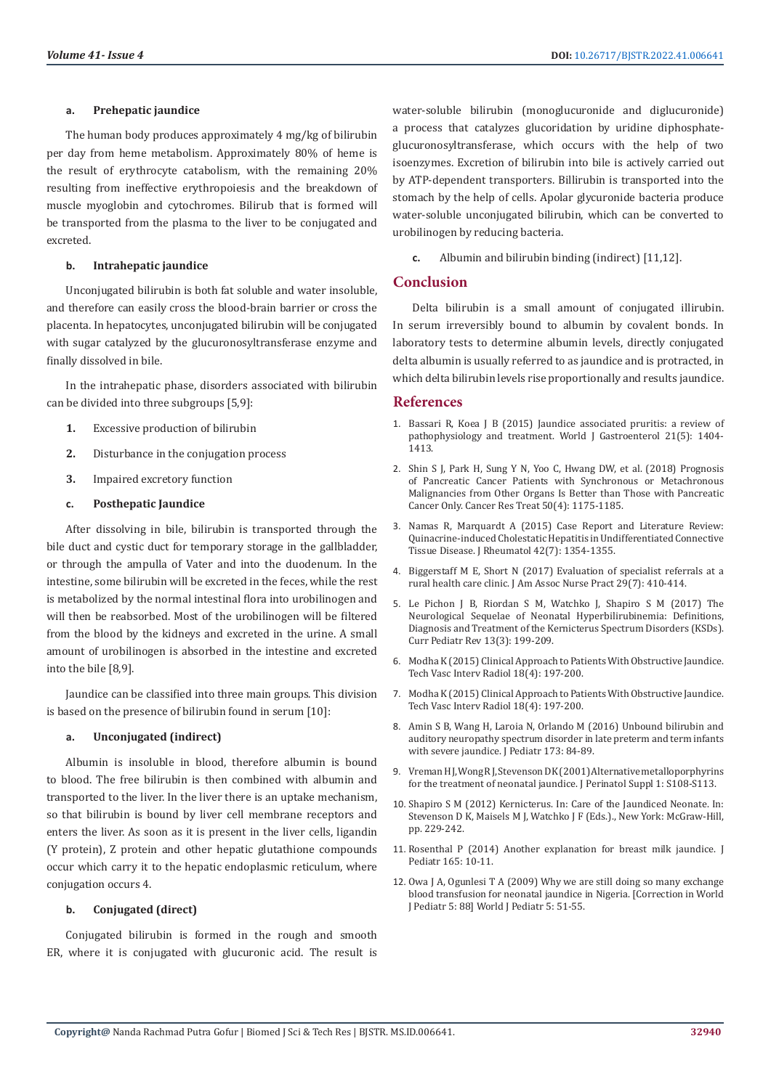#### **a. Prehepatic jaundice**

The human body produces approximately 4 mg/kg of bilirubin per day from heme metabolism. Approximately 80% of heme is the result of erythrocyte catabolism, with the remaining 20% resulting from ineffective erythropoiesis and the breakdown of muscle myoglobin and cytochromes. Bilirub that is formed will be transported from the plasma to the liver to be conjugated and excreted.

#### **b. Intrahepatic jaundice**

Unconjugated bilirubin is both fat soluble and water insoluble, and therefore can easily cross the blood-brain barrier or cross the placenta. In hepatocytes, unconjugated bilirubin will be conjugated with sugar catalyzed by the glucuronosyltransferase enzyme and finally dissolved in bile.

In the intrahepatic phase, disorders associated with bilirubin can be divided into three subgroups [5,9]:

- **1.** Excessive production of bilirubin
- **2.** Disturbance in the conjugation process
- **3.** Impaired excretory function

#### **c. Posthepatic Jaundice**

After dissolving in bile, bilirubin is transported through the bile duct and cystic duct for temporary storage in the gallbladder, or through the ampulla of Vater and into the duodenum. In the intestine, some bilirubin will be excreted in the feces, while the rest is metabolized by the normal intestinal flora into urobilinogen and will then be reabsorbed. Most of the urobilinogen will be filtered from the blood by the kidneys and excreted in the urine. A small amount of urobilinogen is absorbed in the intestine and excreted into the bile [8,9].

Jaundice can be classified into three main groups. This division is based on the presence of bilirubin found in serum [10]:

#### **a. Unconjugated (indirect)**

Albumin is insoluble in blood, therefore albumin is bound to blood. The free bilirubin is then combined with albumin and transported to the liver. In the liver there is an uptake mechanism, so that bilirubin is bound by liver cell membrane receptors and enters the liver. As soon as it is present in the liver cells, ligandin (Y protein), Z protein and other hepatic glutathione compounds occur which carry it to the hepatic endoplasmic reticulum, where conjugation occurs 4.

#### **b. Conjugated (direct)**

Conjugated bilirubin is formed in the rough and smooth ER, where it is conjugated with glucuronic acid. The result is water-soluble bilirubin (monoglucuronide and diglucuronide) a process that catalyzes glucoridation by uridine diphosphateglucuronosyltransferase, which occurs with the help of two isoenzymes. Excretion of bilirubin into bile is actively carried out by ATP-dependent transporters. Billirubin is transported into the stomach by the help of cells. Apolar glycuronide bacteria produce water-soluble unconjugated bilirubin, which can be converted to urobilinogen by reducing bacteria.

**c.** Albumin and bilirubin binding (indirect) [11,12].

# **Conclusion**

Delta bilirubin is a small amount of conjugated illirubin. In serum irreversibly bound to albumin by covalent bonds. In laboratory tests to determine albumin levels, directly conjugated delta albumin is usually referred to as jaundice and is protracted, in which delta bilirubin levels rise proportionally and results jaundice.

### **References**

- 1. [Bassari R, Koea J B \(2015\) Jaundice associated pruritis: a review of](https://www.ncbi.nlm.nih.gov/pmc/articles/PMC4316083/) [pathophysiology and treatment. World J Gastroenterol 21\(5\): 1404-](https://www.ncbi.nlm.nih.gov/pmc/articles/PMC4316083/) [1413.](https://www.ncbi.nlm.nih.gov/pmc/articles/PMC4316083/)
- 2. [Shin S J, Park H, Sung Y N, Yoo C, Hwang DW, et al. \(2018\) Prognosis](https://pubmed.ncbi.nlm.nih.gov/29268568/) [of Pancreatic Cancer Patients with Synchronous or Metachronous](https://pubmed.ncbi.nlm.nih.gov/29268568/) [Malignancies from Other Organs Is Better than Those with Pancreatic](https://pubmed.ncbi.nlm.nih.gov/29268568/) [Cancer Only. Cancer Res Treat 50\(4\): 1175-1185.](https://pubmed.ncbi.nlm.nih.gov/29268568/)
- 3. [Namas R, Marquardt A \(2015\) Case Report and Literature Review:](https://pubmed.ncbi.nlm.nih.gov/26136554/) [Quinacrine-induced Cholestatic Hepatitis in Undifferentiated Connective](https://pubmed.ncbi.nlm.nih.gov/26136554/) [Tissue Disease. J Rheumatol 42\(7\): 1354-1355.](https://pubmed.ncbi.nlm.nih.gov/26136554/)
- 4. [Biggerstaff M E, Short N \(2017\) Evaluation of specialist referrals at a](https://pubmed.ncbi.nlm.nih.gov/28695714/) [rural health care clinic. J Am Assoc Nurse Pract 29\(7\): 410-414.](https://pubmed.ncbi.nlm.nih.gov/28695714/)
- 5. [Le Pichon J B, Riordan S M, Watchko J, Shapiro S M \(2017\) The](https://pubmed.ncbi.nlm.nih.gov/28814249/) [Neurological Sequelae of Neonatal Hyperbilirubinemia: Definitions,](https://pubmed.ncbi.nlm.nih.gov/28814249/) [Diagnosis and Treatment of the Kernicterus Spectrum Disorders \(KSDs\).](https://pubmed.ncbi.nlm.nih.gov/28814249/) [Curr Pediatr Rev 13\(3\): 199-209.](https://pubmed.ncbi.nlm.nih.gov/28814249/)
- 6. [Modha K \(2015\) Clinical Approach to Patients With Obstructive Jaundice.](https://pubmed.ncbi.nlm.nih.gov/26615159/) [Tech Vasc Interv Radiol 18\(4\): 197-200.](https://pubmed.ncbi.nlm.nih.gov/26615159/)
- 7. [Modha K \(2015\) Clinical Approach to Patients With Obstructive Jaundice.](https://pubmed.ncbi.nlm.nih.gov/26615159/) [Tech Vasc Interv Radiol 18\(4\): 197-200.](https://pubmed.ncbi.nlm.nih.gov/26615159/)
- 8. [Amin S B, Wang H, Laroia N, Orlando M \(2016\) Unbound bilirubin and](https://pubmed.ncbi.nlm.nih.gov/26952116/) [auditory neuropathy spectrum disorder in late preterm and term infants](https://pubmed.ncbi.nlm.nih.gov/26952116/) [with severe jaundice. J Pediatr 173: 84-89.](https://pubmed.ncbi.nlm.nih.gov/26952116/)
- 9. [Vreman H J, Wong R J, Stevenson D K \(2001\) Alternative metalloporphyrins](https://pubmed.ncbi.nlm.nih.gov/11803430/) [for the treatment of neonatal jaundice. J Perinatol Suppl 1: S108-S113.](https://pubmed.ncbi.nlm.nih.gov/11803430/)
- 10. Shapiro S M (2012) Kernicterus. In: Care of the Jaundiced Neonate. In: Stevenson D K, Maisels M J, Watchko J F (Eds.)., New York: McGraw-Hill, pp. 229-242.
- 11. Rosenthal P (2014) Another explanation for breast milk jaundice. J Pediatr 165: 10-11.
- 12. Owa J A, Ogunlesi T A (2009) Why we are still doing so many exchange blood transfusion for neonatal jaundice in Nigeria. [Correction in World J Pediatr 5: 88] World J Pediatr 5: 51-55.